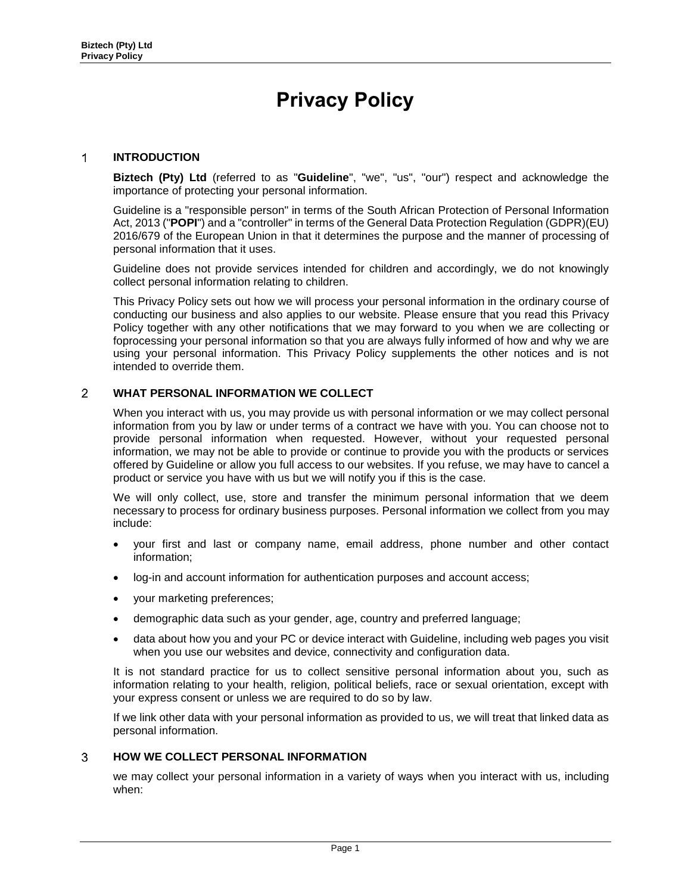# **Privacy Policy**

## $\mathbf{1}$ **INTRODUCTION**

**Biztech (Pty) Ltd** (referred to as "**Guideline**", "we", "us", "our") respect and acknowledge the importance of protecting your personal information.

Guideline is a "responsible person" in terms of the South African Protection of Personal Information Act, 2013 ("**POPI**") and a "controller" in terms of the General Data Protection Regulation (GDPR)(EU) 2016/679 of the European Union in that it determines the purpose and the manner of processing of personal information that it uses.

Guideline does not provide services intended for children and accordingly, we do not knowingly collect personal information relating to children.

This Privacy Policy sets out how we will process your personal information in the ordinary course of conducting our business and also applies to our website. Please ensure that you read this Privacy Policy together with any other notifications that we may forward to you when we are collecting or foprocessing your personal information so that you are always fully informed of how and why we are using your personal information. This Privacy Policy supplements the other notices and is not intended to override them.

## $\overline{2}$ **WHAT PERSONAL INFORMATION WE COLLECT**

When you interact with us, you may provide us with personal information or we may collect personal information from you by law or under terms of a contract we have with you. You can choose not to provide personal information when requested. However, without your requested personal information, we may not be able to provide or continue to provide you with the products or services offered by Guideline or allow you full access to our websites. If you refuse, we may have to cancel a product or service you have with us but we will notify you if this is the case.

We will only collect, use, store and transfer the minimum personal information that we deem necessary to process for ordinary business purposes. Personal information we collect from you may include:

- your first and last or company name, email address, phone number and other contact information;
- log-in and account information for authentication purposes and account access;
- your marketing preferences;
- demographic data such as your gender, age, country and preferred language;
- data about how you and your PC or device interact with Guideline, including web pages you visit when you use our websites and device, connectivity and configuration data.

It is not standard practice for us to collect sensitive personal information about you, such as information relating to your health, religion, political beliefs, race or sexual orientation, except with your express consent or unless we are required to do so by law.

If we link other data with your personal information as provided to us, we will treat that linked data as personal information.

# 3 **HOW WE COLLECT PERSONAL INFORMATION**

we may collect your personal information in a variety of ways when you interact with us, including when: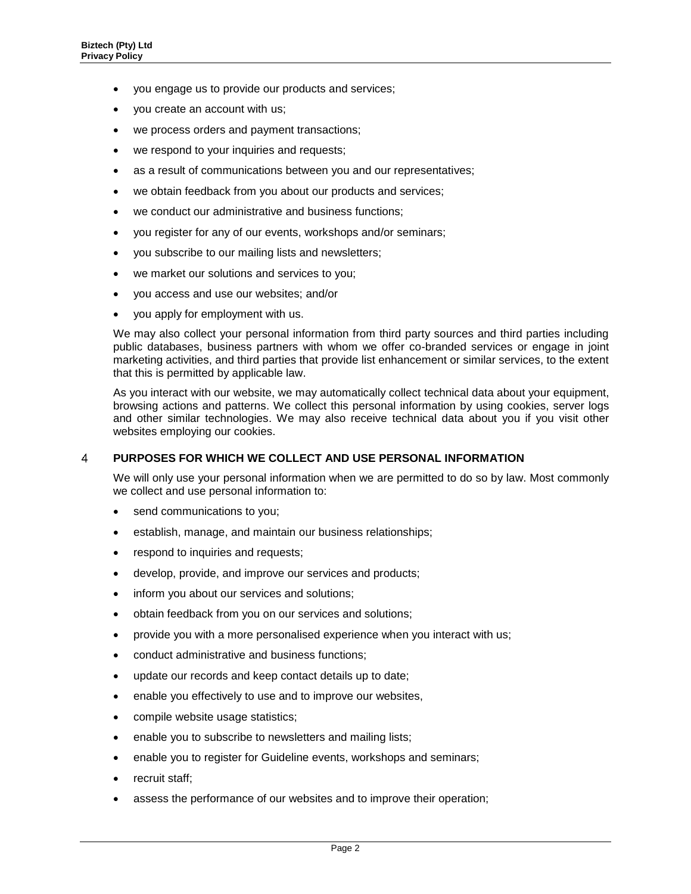- you engage us to provide our products and services;
- you create an account with us;
- we process orders and payment transactions;
- we respond to your inquiries and requests;
- as a result of communications between you and our representatives;
- we obtain feedback from you about our products and services;
- we conduct our administrative and business functions;
- you register for any of our events, workshops and/or seminars;
- you subscribe to our mailing lists and newsletters;
- we market our solutions and services to you;
- you access and use our websites; and/or
- you apply for employment with us.

We may also collect your personal information from third party sources and third parties including public databases, business partners with whom we offer co-branded services or engage in joint marketing activities, and third parties that provide list enhancement or similar services, to the extent that this is permitted by applicable law.

As you interact with our website, we may automatically collect technical data about your equipment, browsing actions and patterns. We collect this personal information by using cookies, server logs and other similar technologies. We may also receive technical data about you if you visit other websites employing our cookies.

#### $\overline{4}$ **PURPOSES FOR WHICH WE COLLECT AND USE PERSONAL INFORMATION**

We will only use your personal information when we are permitted to do so by law. Most commonly we collect and use personal information to:

- send communications to you;
- establish, manage, and maintain our business relationships;
- respond to inquiries and requests;
- develop, provide, and improve our services and products;
- inform you about our services and solutions;
- obtain feedback from you on our services and solutions;
- provide you with a more personalised experience when you interact with us;
- conduct administrative and business functions;
- update our records and keep contact details up to date;
- enable you effectively to use and to improve our websites,
- compile website usage statistics;
- enable you to subscribe to newsletters and mailing lists;
- enable you to register for Guideline events, workshops and seminars;
- recruit staff;
- assess the performance of our websites and to improve their operation;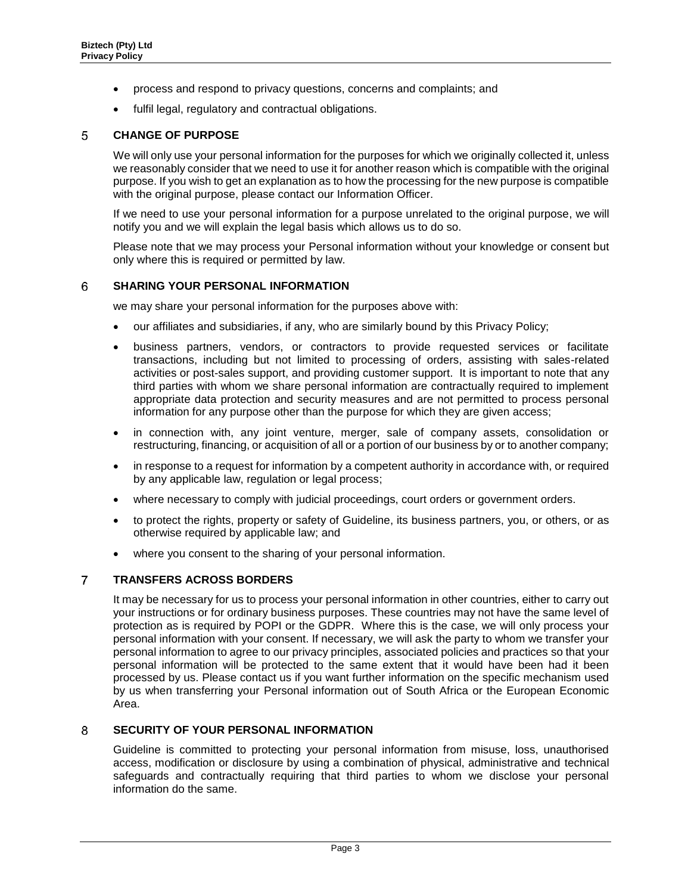- process and respond to privacy questions, concerns and complaints; and
- fulfil legal, regulatory and contractual obligations.

# 5 **CHANGE OF PURPOSE**

We will only use your personal information for the purposes for which we originally collected it, unless we reasonably consider that we need to use it for another reason which is compatible with the original purpose. If you wish to get an explanation as to how the processing for the new purpose is compatible with the original purpose, please contact our Information Officer.

If we need to use your personal information for a purpose unrelated to the original purpose, we will notify you and we will explain the legal basis which allows us to do so.

Please note that we may process your Personal information without your knowledge or consent but only where this is required or permitted by law.

## 6 **SHARING YOUR PERSONAL INFORMATION**

we may share your personal information for the purposes above with:

- our affiliates and subsidiaries, if any, who are similarly bound by this Privacy Policy;
- business partners, vendors, or contractors to provide requested services or facilitate transactions, including but not limited to processing of orders, assisting with sales-related activities or post-sales support, and providing customer support. It is important to note that any third parties with whom we share personal information are contractually required to implement appropriate data protection and security measures and are not permitted to process personal information for any purpose other than the purpose for which they are given access;
- in connection with, any joint venture, merger, sale of company assets, consolidation or restructuring, financing, or acquisition of all or a portion of our business by or to another company;
- in response to a request for information by a competent authority in accordance with, or required by any applicable law, regulation or legal process;
- where necessary to comply with judicial proceedings, court orders or government orders.
- to protect the rights, property or safety of Guideline, its business partners, you, or others, or as otherwise required by applicable law; and
- where you consent to the sharing of your personal information.

## $\overline{7}$ **TRANSFERS ACROSS BORDERS**

It may be necessary for us to process your personal information in other countries, either to carry out your instructions or for ordinary business purposes. These countries may not have the same level of protection as is required by POPI or the GDPR. Where this is the case, we will only process your personal information with your consent. If necessary, we will ask the party to whom we transfer your personal information to agree to our privacy principles, associated policies and practices so that your personal information will be protected to the same extent that it would have been had it been processed by us. Please contact us if you want further information on the specific mechanism used by us when transferring your Personal information out of South Africa or the European Economic Area.

#### **SECURITY OF YOUR PERSONAL INFORMATION**  8

Guideline is committed to protecting your personal information from misuse, loss, unauthorised access, modification or disclosure by using a combination of physical, administrative and technical safeguards and contractually requiring that third parties to whom we disclose your personal information do the same.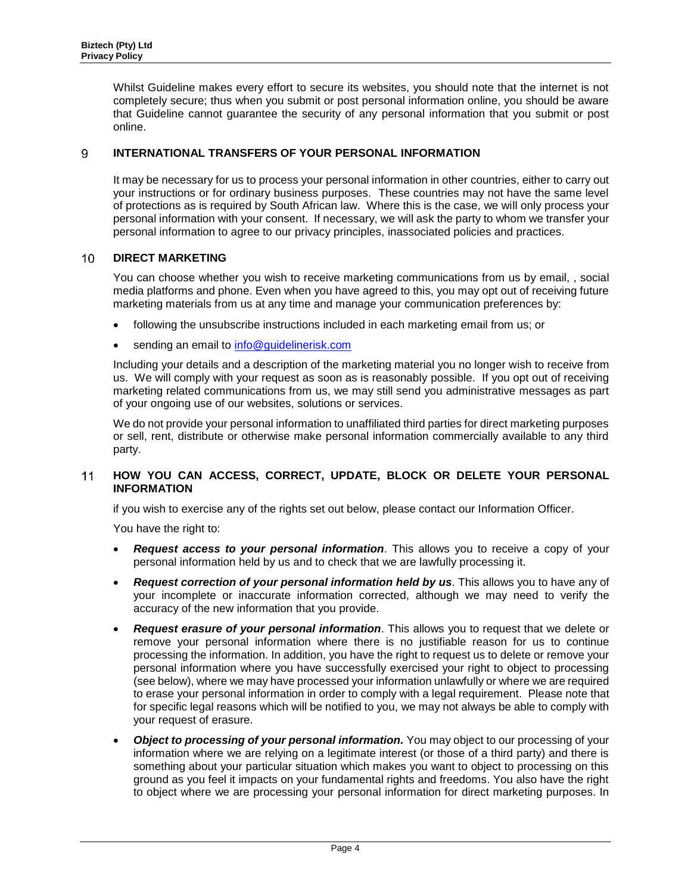Whilst Guideline makes every effort to secure its websites, you should note that the internet is not completely secure; thus when you submit or post personal information online, you should be aware that Guideline cannot guarantee the security of any personal information that you submit or post online.

# 9 **INTERNATIONAL TRANSFERS OF YOUR PERSONAL INFORMATION**

It may be necessary for us to process your personal information in other countries, either to carry out your instructions or for ordinary business purposes. These countries may not have the same level of protections as is required by South African law. Where this is the case, we will only process your personal information with your consent. If necessary, we will ask the party to whom we transfer your personal information to agree to our privacy principles, inassociated policies and practices.

# $10<sup>°</sup>$ **DIRECT MARKETING**

You can choose whether you wish to receive marketing communications from us by email, , social media platforms and phone. Even when you have agreed to this, you may opt out of receiving future marketing materials from us at any time and manage your communication preferences by:

- following the unsubscribe instructions included in each marketing email from us; or
- sending an email to [info@guidelinerisk.com](mailto:info@guidelinerisk.com)

Including your details and a description of the marketing material you no longer wish to receive from us. We will comply with your request as soon as is reasonably possible. If you opt out of receiving marketing related communications from us, we may still send you administrative messages as part of your ongoing use of our websites, solutions or services.

We do not provide your personal information to unaffiliated third parties for direct marketing purposes or sell, rent, distribute or otherwise make personal information commercially available to any third party.

# $11$ **HOW YOU CAN ACCESS, CORRECT, UPDATE, BLOCK OR DELETE YOUR PERSONAL INFORMATION**

if you wish to exercise any of the rights set out below, please contact our Information Officer.

You have the right to:

- *Request access to your personal information*. This allows you to receive a copy of your personal information held by us and to check that we are lawfully processing it.
- *Request correction of your personal information held by us*. This allows you to have any of your incomplete or inaccurate information corrected, although we may need to verify the accuracy of the new information that you provide.
- *Request erasure of your personal information*. This allows you to request that we delete or remove your personal information where there is no justifiable reason for us to continue processing the information. In addition, you have the right to request us to delete or remove your personal information where you have successfully exercised your right to object to processing (see below), where we may have processed your information unlawfully or where we are required to erase your personal information in order to comply with a legal requirement. Please note that for specific legal reasons which will be notified to you, we may not always be able to comply with your request of erasure.
- *Object to processing of your personal information.* **You may object to our processing of your** information where we are relying on a legitimate interest (or those of a third party) and there is something about your particular situation which makes you want to object to processing on this ground as you feel it impacts on your fundamental rights and freedoms. You also have the right to object where we are processing your personal information for direct marketing purposes. In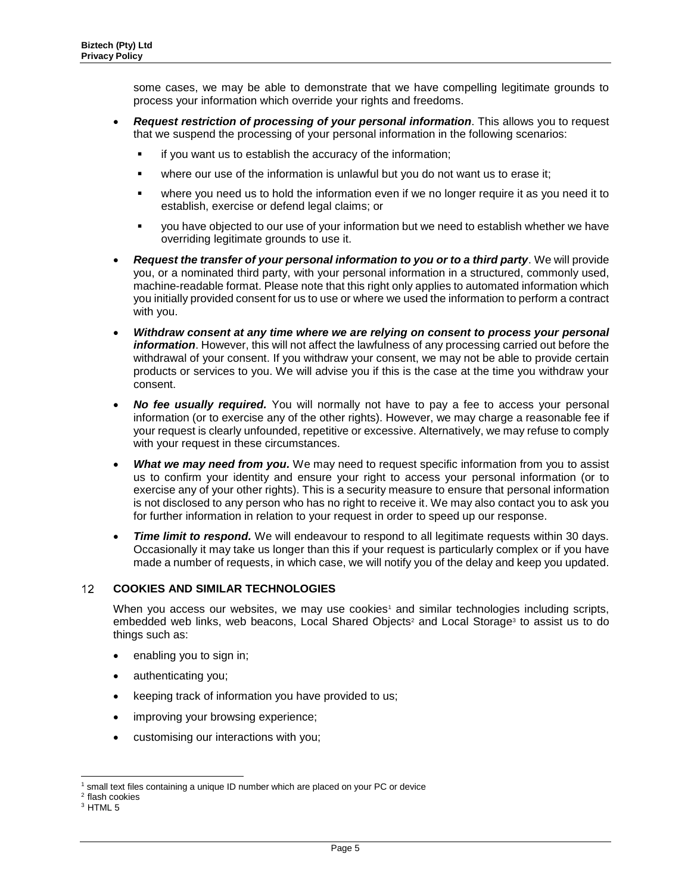some cases, we may be able to demonstrate that we have compelling legitimate grounds to process your information which override your rights and freedoms.

- *Request restriction of processing of your personal information*. This allows you to request that we suspend the processing of your personal information in the following scenarios:
	- if you want us to establish the accuracy of the information;
	- where our use of the information is unlawful but you do not want us to erase it;
	- where you need us to hold the information even if we no longer require it as you need it to establish, exercise or defend legal claims; or
	- you have objected to our use of your information but we need to establish whether we have overriding legitimate grounds to use it.
- *Request the transfer of your personal information to you or to a third party*. We will provide you, or a nominated third party, with your personal information in a structured, commonly used, machine-readable format. Please note that this right only applies to automated information which you initially provided consent for us to use or where we used the information to perform a contract with you.
- *Withdraw consent at any time where we are relying on consent to process your personal information*. However, this will not affect the lawfulness of any processing carried out before the withdrawal of your consent. If you withdraw your consent, we may not be able to provide certain products or services to you. We will advise you if this is the case at the time you withdraw your consent.
- *No fee usually required.* You will normally not have to pay a fee to access your personal information (or to exercise any of the other rights). However, we may charge a reasonable fee if your request is clearly unfounded, repetitive or excessive. Alternatively, we may refuse to comply with your request in these circumstances.
- *What we may need from you.* We may need to request specific information from you to assist us to confirm your identity and ensure your right to access your personal information (or to exercise any of your other rights). This is a security measure to ensure that personal information is not disclosed to any person who has no right to receive it. We may also contact you to ask you for further information in relation to your request in order to speed up our response.
- *Time limit to respond.* We will endeavour to respond to all legitimate requests within 30 days. Occasionally it may take us longer than this if your request is particularly complex or if you have made a number of requests, in which case, we will notify you of the delay and keep you updated.

# $12<sup>2</sup>$ **COOKIES AND SIMILAR TECHNOLOGIES**

When you access our websites, we may use cookies<sup>1</sup> and similar technologies including scripts, embedded web links, web beacons, Local Shared Objects<sup>2</sup> and Local Storage<sup>3</sup> to assist us to do things such as:

- enabling you to sign in;
- authenticating you;
- keeping track of information you have provided to us;
- improving your browsing experience;
- customising our interactions with you;

l <sup>1</sup> small text files containing a unique ID number which are placed on your PC or device

<sup>2</sup> flash cookies

<sup>3</sup> HTML 5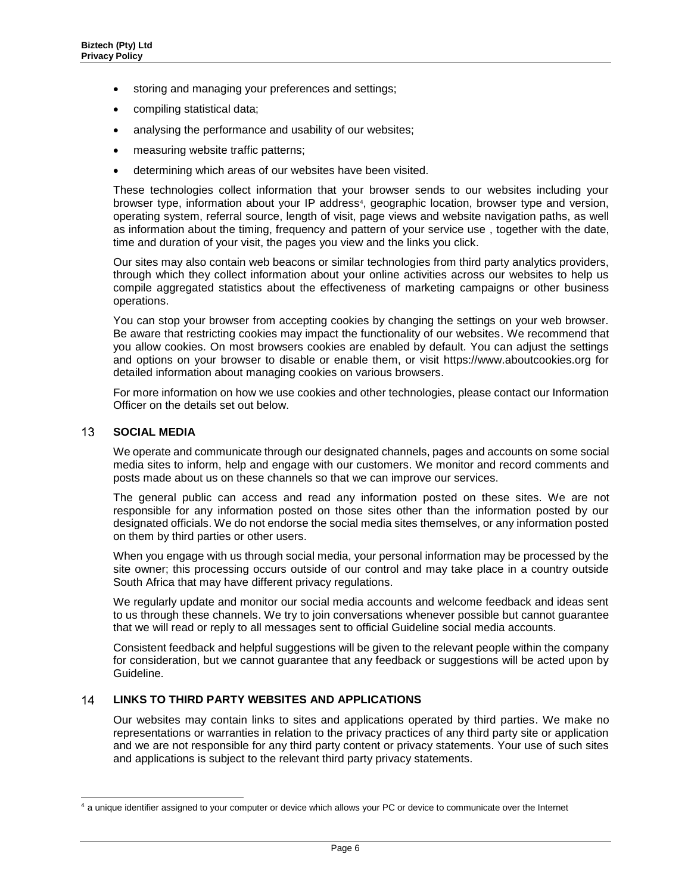- storing and managing your preferences and settings;
- compiling statistical data;
- analysing the performance and usability of our websites;
- measuring website traffic patterns;
- determining which areas of our websites have been visited.

These technologies collect information that your browser sends to our websites including your browser type, information about your IP address<sup>4</sup>, geographic location, browser type and version, operating system, referral source, length of visit, page views and website navigation paths, as well as information about the timing, frequency and pattern of your service use , together with the date, time and duration of your visit, the pages you view and the links you click.

Our sites may also contain web beacons or similar technologies from third party analytics providers, through which they collect information about your online activities across our websites to help us compile aggregated statistics about the effectiveness of marketing campaigns or other business operations.

You can stop your browser from accepting cookies by changing the settings on your web browser. Be aware that restricting cookies may impact the functionality of our websites. We recommend that you allow cookies. On most browsers cookies are enabled by default. You can adjust the settings and options on your browser to disable or enable them, or visit https://www.aboutcookies.org for detailed information about managing cookies on various browsers.

For more information on how we use cookies and other technologies, please contact our Information Officer on the details set out below.

#### $13$ **SOCIAL MEDIA**

l

We operate and communicate through our designated channels, pages and accounts on some social media sites to inform, help and engage with our customers. We monitor and record comments and posts made about us on these channels so that we can improve our services.

The general public can access and read any information posted on these sites. We are not responsible for any information posted on those sites other than the information posted by our designated officials. We do not endorse the social media sites themselves, or any information posted on them by third parties or other users.

When you engage with us through social media, your personal information may be processed by the site owner; this processing occurs outside of our control and may take place in a country outside South Africa that may have different privacy regulations.

We regularly update and monitor our social media accounts and welcome feedback and ideas sent to us through these channels. We try to join conversations whenever possible but cannot guarantee that we will read or reply to all messages sent to official Guideline social media accounts.

Consistent feedback and helpful suggestions will be given to the relevant people within the company for consideration, but we cannot guarantee that any feedback or suggestions will be acted upon by Guideline.

# **LINKS TO THIRD PARTY WEBSITES AND APPLICATIONS**  14

Our websites may contain links to sites and applications operated by third parties. We make no representations or warranties in relation to the privacy practices of any third party site or application and we are not responsible for any third party content or privacy statements. Your use of such sites and applications is subject to the relevant third party privacy statements.

<sup>&</sup>lt;sup>4</sup> a unique identifier assigned to your computer or device which allows your PC or device to communicate over the Internet